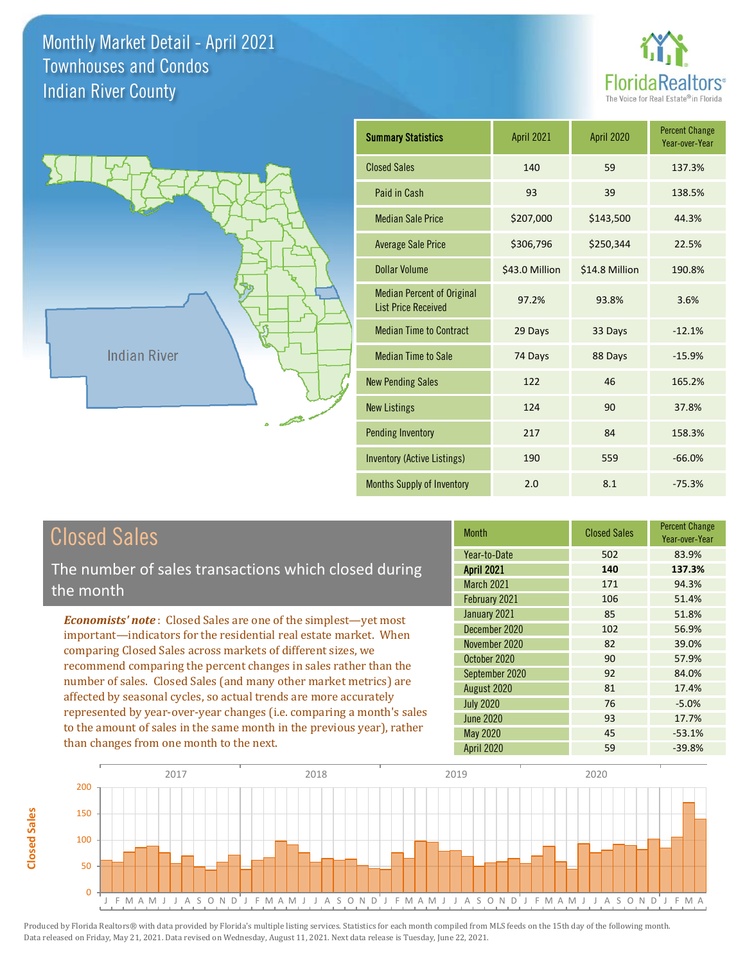



| <b>Summary Statistics</b>                                       | <b>April 2021</b> | <b>April 2020</b> | <b>Percent Change</b><br>Year-over-Year |
|-----------------------------------------------------------------|-------------------|-------------------|-----------------------------------------|
| <b>Closed Sales</b>                                             | 140               | 59                | 137.3%                                  |
| Paid in Cash                                                    | 93                | 39                | 138.5%                                  |
| <b>Median Sale Price</b>                                        | \$207,000         | \$143,500         | 44.3%                                   |
| <b>Average Sale Price</b>                                       | \$306,796         | \$250,344         | 22.5%                                   |
| <b>Dollar Volume</b>                                            | \$43.0 Million    | \$14.8 Million    | 190.8%                                  |
| <b>Median Percent of Original</b><br><b>List Price Received</b> | 97.2%             | 93.8%             | 3.6%                                    |
| <b>Median Time to Contract</b>                                  | 29 Days           | 33 Days           | $-12.1%$                                |
| <b>Median Time to Sale</b>                                      | 74 Days           | 88 Days           | $-15.9%$                                |
| <b>New Pending Sales</b>                                        | 122               | 46                | 165.2%                                  |
| <b>New Listings</b>                                             | 124               | 90                | 37.8%                                   |
| <b>Pending Inventory</b>                                        | 217               | 84                | 158.3%                                  |
| <b>Inventory (Active Listings)</b>                              | 190               | 559               | $-66.0%$                                |
| <b>Months Supply of Inventory</b>                               | 2.0               | 8.1               | $-75.3%$                                |

## Closed Sales

The number of sales transactions which closed during the month

*Economists' note* : Closed Sales are one of the simplest—yet most important—indicators for the residential real estate market. When comparing Closed Sales across markets of different sizes, we recommend comparing the percent changes in sales rather than the number of sales. Closed Sales (and many other market metrics) are affected by seasonal cycles, so actual trends are more accurately represented by year-over-year changes (i.e. comparing a month's sales to the amount of sales in the same month in the previous year), rather than changes from one month to the next.

| <b>Month</b>      | <b>Closed Sales</b> | <b>Percent Change</b><br>Year-over-Year |
|-------------------|---------------------|-----------------------------------------|
| Year-to-Date      | 502                 | 83.9%                                   |
| <b>April 2021</b> | 140                 | 137.3%                                  |
| March 2021        | 171                 | 94.3%                                   |
| February 2021     | 106                 | 51.4%                                   |
| January 2021      | 85                  | 51.8%                                   |
| December 2020     | 102                 | 56.9%                                   |
| November 2020     | 82                  | 39.0%                                   |
| October 2020      | 90                  | 57.9%                                   |
| September 2020    | 92                  | 84.0%                                   |
| August 2020       | 81                  | 17.4%                                   |
| <b>July 2020</b>  | 76                  | $-5.0%$                                 |
| <b>June 2020</b>  | 93                  | 17.7%                                   |
| May 2020          | 45                  | $-53.1%$                                |
| April 2020        | 59                  | $-39.8%$                                |

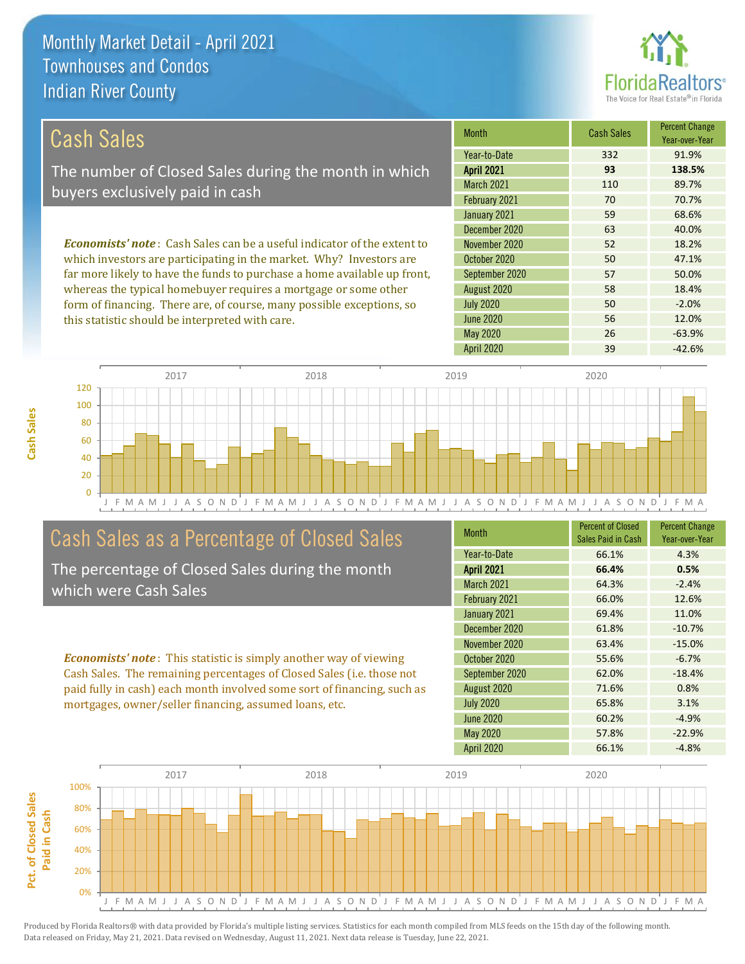

50 -2.0%

56 12.0%

| Cash Sales                                                                     | <b>Month</b>      | <b>Cash Sales</b> | <b>Percent Change</b><br>Year-over-Year |
|--------------------------------------------------------------------------------|-------------------|-------------------|-----------------------------------------|
|                                                                                | Year-to-Date      | 332               | 91.9%                                   |
| The number of Closed Sales during the month in which                           | <b>April 2021</b> | 93                | 138.5%                                  |
| buyers exclusively paid in cash                                                | <b>March 2021</b> | 110               | 89.7%                                   |
|                                                                                | February 2021     | 70                | 70.7%                                   |
|                                                                                | January 2021      | 59                | 68.6%                                   |
|                                                                                | December 2020     | 63                | 40.0%                                   |
| <b>Economists' note:</b> Cash Sales can be a useful indicator of the extent to | November 2020     | 52                | 18.2%                                   |
| which investors are participating in the market. Why? Investors are            | October 2020      | 50                | 47.1%                                   |
| far more likely to have the funds to purchase a home available up front,       | September 2020    | 57                | 50.0%                                   |
| whereas the typical homebuyer requires a mortgage or some other                | August 2020       | 58                | 18.4%                                   |

J F M A M J J A S O N D J F M A M J J A S O N D J F M A M J J A S O N D J F M A M J J A S O N D J F M A 0 20 40 60 80 100 120 2017 2018 2019 2020

## Cash Sales as a Percentage of Closed Sales

form of financing. There are, of course, many possible exceptions, so

this statistic should be interpreted with care.

The percentage of Closed Sales during the month which were Cash Sales

*Economists' note* : This statistic is simply another way of viewing Cash Sales. The remaining percentages of Closed Sales (i.e. those not paid fully in cash) each month involved some sort of financing, such as mortgages, owner/seller financing, assumed loans, etc.

| <b>Month</b>      | <b>Percent of Closed</b><br>Sales Paid in Cash | <b>Percent Change</b><br>Year-over-Year |
|-------------------|------------------------------------------------|-----------------------------------------|
| Year-to-Date      | 66.1%                                          | 4.3%                                    |
| <b>April 2021</b> | 66.4%                                          | 0.5%                                    |
| March 2021        | 64.3%                                          | $-2.4%$                                 |
| February 2021     | 66.0%                                          | 12.6%                                   |
| January 2021      | 69.4%                                          | 11.0%                                   |
| December 2020     | 61.8%                                          | $-10.7%$                                |
| November 2020     | 63.4%                                          | $-15.0%$                                |
| October 2020      | 55.6%                                          | $-6.7%$                                 |
| September 2020    | 62.0%                                          | $-18.4%$                                |
| August 2020       | 71.6%                                          | 0.8%                                    |
| <b>July 2020</b>  | 65.8%                                          | 3.1%                                    |
| <b>June 2020</b>  | 60.2%                                          | $-4.9%$                                 |
| <b>May 2020</b>   | 57.8%                                          | $-22.9%$                                |
| April 2020        | 66.1%                                          | $-4.8%$                                 |

April 2020 39 -42.6%

May 2020 26 -63.9%

June 2020

July 2020



**Cash Sales**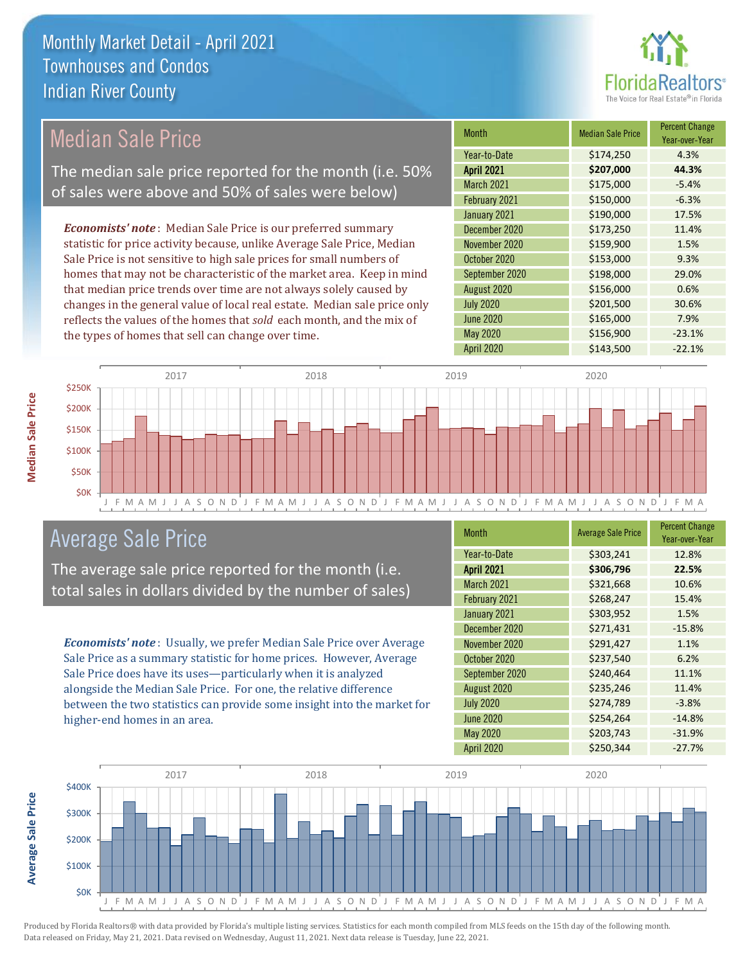

### Median Sale Price

The median sale price reported for the month (i.e. 50% of sales were above and 50% of sales were below)

*Economists' note* : Median Sale Price is our preferred summary statistic for price activity because, unlike Average Sale Price, Median Sale Price is not sensitive to high sale prices for small numbers of homes that may not be characteristic of the market area. Keep in mind that median price trends over time are not always solely caused by changes in the general value of local real estate. Median sale price only reflects the values of the homes that *sold* each month, and the mix of the types of homes that sell can change over time.

| Month             | <b>Median Sale Price</b> | <b>Percent Change</b><br>Year-over-Year |
|-------------------|--------------------------|-----------------------------------------|
| Year-to-Date      | \$174,250                | 4.3%                                    |
| <b>April 2021</b> | \$207,000                | 44.3%                                   |
| <b>March 2021</b> | \$175,000                | $-5.4%$                                 |
| February 2021     | \$150,000                | $-6.3%$                                 |
| January 2021      | \$190,000                | 17.5%                                   |
| December 2020     | \$173,250                | 11.4%                                   |
| November 2020     | \$159,900                | 1.5%                                    |
| October 2020      | \$153,000                | 9.3%                                    |
| September 2020    | \$198,000                | 29.0%                                   |
| August 2020       | \$156,000                | 0.6%                                    |
| <b>July 2020</b>  | \$201,500                | 30.6%                                   |
| <b>June 2020</b>  | \$165,000                | 7.9%                                    |
| May 2020          | \$156,900                | $-23.1%$                                |
| April 2020        | \$143,500                | $-22.1%$                                |



### Average Sale Price

The average sale price reported for the month (i.e. total sales in dollars divided by the number of sales)

*Economists' note* : Usually, we prefer Median Sale Price over Average Sale Price as a summary statistic for home prices. However, Average Sale Price does have its uses—particularly when it is analyzed alongside the Median Sale Price. For one, the relative difference between the two statistics can provide some insight into the market for higher-end homes in an area.

| Month             | <b>Average Sale Price</b> | <b>Percent Change</b><br>Year-over-Year |
|-------------------|---------------------------|-----------------------------------------|
| Year-to-Date      | \$303,241                 | 12.8%                                   |
| <b>April 2021</b> | \$306,796                 | 22.5%                                   |
| March 2021        | \$321,668                 | 10.6%                                   |
| February 2021     | \$268,247                 | 15.4%                                   |
| January 2021      | \$303,952                 | 1.5%                                    |
| December 2020     | \$271,431                 | $-15.8%$                                |
| November 2020     | \$291,427                 | 1.1%                                    |
| October 2020      | \$237,540                 | 6.2%                                    |
| September 2020    | \$240,464                 | 11.1%                                   |
| August 2020       | \$235,246                 | 11.4%                                   |
| <b>July 2020</b>  | \$274,789                 | $-3.8%$                                 |
| <b>June 2020</b>  | \$254,264                 | $-14.8%$                                |
| May 2020          | \$203,743                 | $-31.9%$                                |
| April 2020        | \$250,344                 | $-27.7%$                                |



**Average Sale Price**

Average Sale Price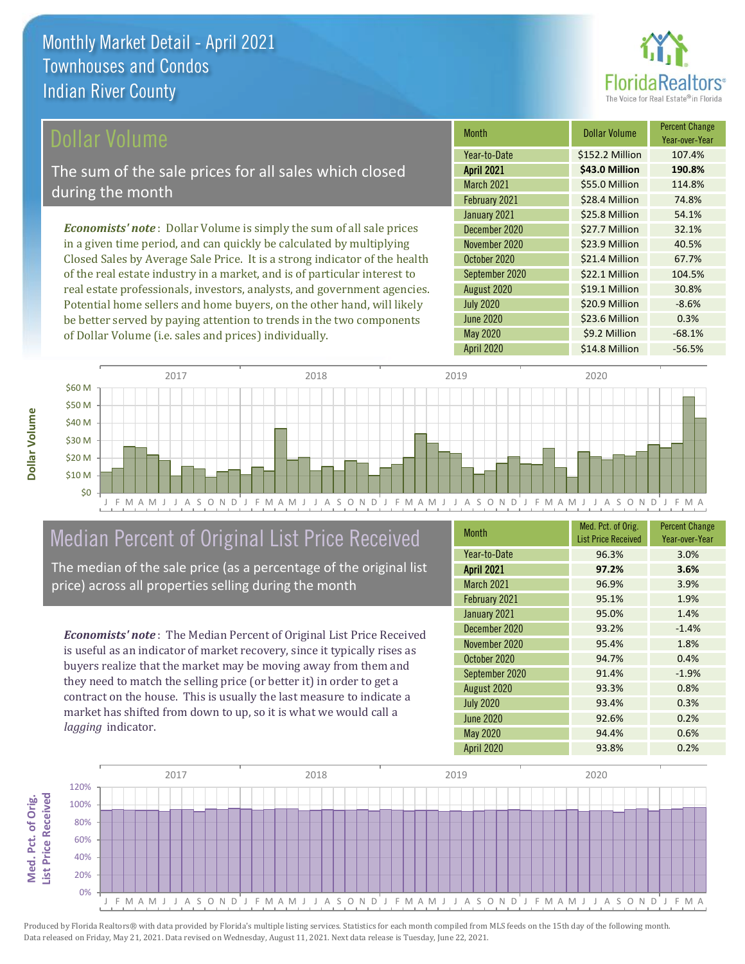

#### Dollar Volume

The sum of the sale prices for all sales which closed during the month

*Economists' note* : Dollar Volume is simply the sum of all sale prices in a given time period, and can quickly be calculated by multiplying Closed Sales by Average Sale Price. It is a strong indicator of the health of the real estate industry in a market, and is of particular interest to real estate professionals, investors, analysts, and government agencies. Potential home sellers and home buyers, on the other hand, will likely be better served by paying attention to trends in the two components of Dollar Volume (i.e. sales and prices) individually.

| <b>Month</b>      | <b>Dollar Volume</b> | <b>Percent Change</b><br>Year-over-Year |
|-------------------|----------------------|-----------------------------------------|
| Year-to-Date      | \$152.2 Million      | 107.4%                                  |
| <b>April 2021</b> | \$43.0 Million       | 190.8%                                  |
| <b>March 2021</b> | \$55.0 Million       | 114.8%                                  |
| February 2021     | \$28.4 Million       | 74.8%                                   |
| January 2021      | \$25.8 Million       | 54.1%                                   |
| December 2020     | \$27.7 Million       | 32.1%                                   |
| November 2020     | \$23.9 Million       | 40.5%                                   |
| October 2020      | \$21.4 Million       | 67.7%                                   |
| September 2020    | \$22.1 Million       | 104.5%                                  |
| August 2020       | \$19.1 Million       | 30.8%                                   |
| <b>July 2020</b>  | \$20.9 Million       | $-8.6%$                                 |
| <b>June 2020</b>  | \$23.6 Million       | 0.3%                                    |
| May 2020          | \$9.2 Million        | $-68.1%$                                |
| <b>April 2020</b> | \$14.8 Million       | $-56.5%$                                |



## Median Percent of Original List Price Received

The median of the sale price (as a percentage of the original list price) across all properties selling during the month

*Economists' note* : The Median Percent of Original List Price Received is useful as an indicator of market recovery, since it typically rises as buyers realize that the market may be moving away from them and they need to match the selling price (or better it) in order to get a contract on the house. This is usually the last measure to indicate a market has shifted from down to up, so it is what we would call a *lagging* indicator.

| Month             | Med. Pct. of Orig.<br><b>List Price Received</b> | <b>Percent Change</b><br>Year-over-Year |
|-------------------|--------------------------------------------------|-----------------------------------------|
| Year-to-Date      | 96.3%                                            | 3.0%                                    |
| <b>April 2021</b> | 97.2%                                            | 3.6%                                    |
| March 2021        | 96.9%                                            | 3.9%                                    |
| February 2021     | 95.1%                                            | 1.9%                                    |
| January 2021      | 95.0%                                            | 1.4%                                    |
| December 2020     | 93.2%                                            | $-1.4%$                                 |
| November 2020     | 95.4%                                            | 1.8%                                    |
| October 2020      | 94.7%                                            | 0.4%                                    |
| September 2020    | 91.4%                                            | $-1.9%$                                 |
| August 2020       | 93.3%                                            | 0.8%                                    |
| <b>July 2020</b>  | 93.4%                                            | 0.3%                                    |
| <b>June 2020</b>  | 92.6%                                            | 0.2%                                    |
| <b>May 2020</b>   | 94.4%                                            | 0.6%                                    |
| April 2020        | 93.8%                                            | 0.2%                                    |

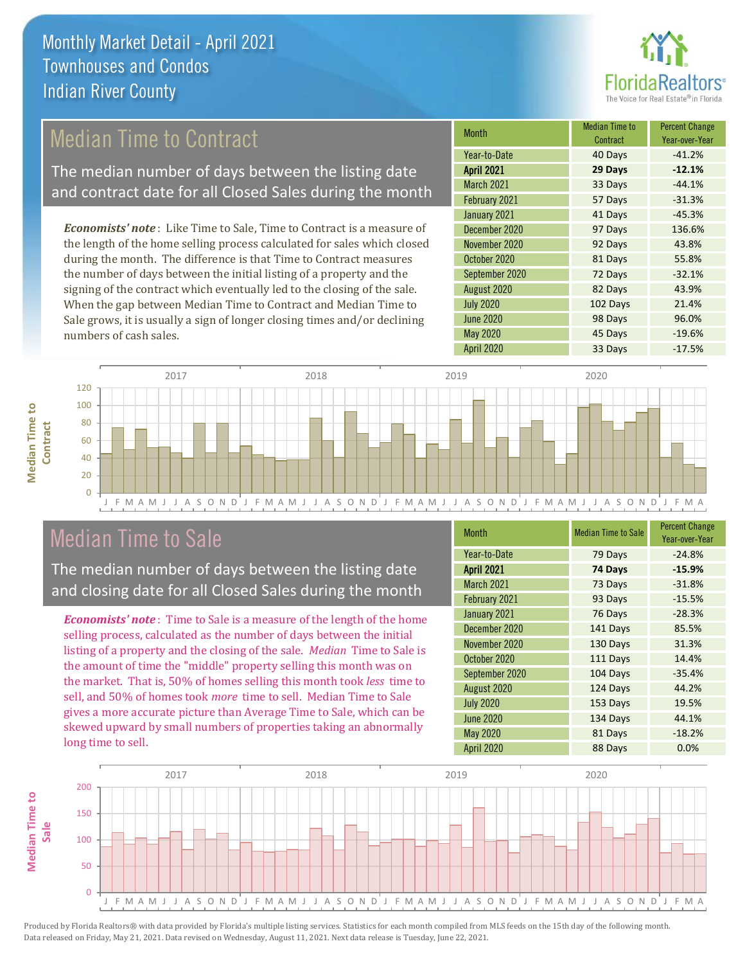

## Median Time to Contract

The median number of days between the listing date and contract date for all Closed Sales during the month

*Economists' note* : Like Time to Sale, Time to Contract is a measure of the length of the home selling process calculated for sales which closed during the month. The difference is that Time to Contract measures the number of days between the initial listing of a property and the signing of the contract which eventually led to the closing of the sale. When the gap between Median Time to Contract and Median Time to Sale grows, it is usually a sign of longer closing times and/or declining numbers of cash sales.

| Month             | Median Time to<br>Contract | <b>Percent Change</b><br>Year-over-Year |
|-------------------|----------------------------|-----------------------------------------|
| Year-to-Date      | 40 Days                    | $-41.2%$                                |
| <b>April 2021</b> | 29 Days                    | $-12.1%$                                |
| <b>March 2021</b> | 33 Days                    | $-44.1%$                                |
| February 2021     | 57 Days                    | $-31.3%$                                |
| January 2021      | 41 Days                    | $-45.3%$                                |
| December 2020     | 97 Days                    | 136.6%                                  |
| November 2020     | 92 Days                    | 43.8%                                   |
| October 2020      | 81 Days                    | 55.8%                                   |
| September 2020    | 72 Days                    | $-32.1%$                                |
| August 2020       | 82 Days                    | 43.9%                                   |
| <b>July 2020</b>  | 102 Days                   | 21.4%                                   |
| <b>June 2020</b>  | 98 Days                    | 96.0%                                   |
| <b>May 2020</b>   | 45 Days                    | $-19.6%$                                |
| April 2020        | 33 Days                    | $-17.5%$                                |



### Median Time to Sale

**Median Time to** 

**Median Time to** 

The median number of days between the listing date and closing date for all Closed Sales during the month

*Economists' note* : Time to Sale is a measure of the length of the home selling process, calculated as the number of days between the initial listing of a property and the closing of the sale. *Median* Time to Sale is the amount of time the "middle" property selling this month was on the market. That is, 50% of homes selling this month took *less* time to sell, and 50% of homes took *more* time to sell. Median Time to Sale gives a more accurate picture than Average Time to Sale, which can be skewed upward by small numbers of properties taking an abnormally long time to sell.

| Month             | <b>Median Time to Sale</b> | <b>Percent Change</b><br>Year-over-Year |
|-------------------|----------------------------|-----------------------------------------|
| Year-to-Date      | 79 Days                    | $-24.8%$                                |
| <b>April 2021</b> | 74 Days                    | $-15.9%$                                |
| March 2021        | 73 Days                    | $-31.8%$                                |
| February 2021     | 93 Days                    | $-15.5%$                                |
| January 2021      | 76 Days                    | $-28.3%$                                |
| December 2020     | 141 Days                   | 85.5%                                   |
| November 2020     | 130 Days                   | 31.3%                                   |
| October 2020      | 111 Days                   | 14.4%                                   |
| September 2020    | 104 Days                   | $-35.4%$                                |
| August 2020       | 124 Days                   | 44.2%                                   |
| <b>July 2020</b>  | 153 Days                   | 19.5%                                   |
| <b>June 2020</b>  | 134 Days                   | 44.1%                                   |
| <b>May 2020</b>   | 81 Days                    | $-18.2%$                                |
| April 2020        | 88 Days                    | 0.0%                                    |

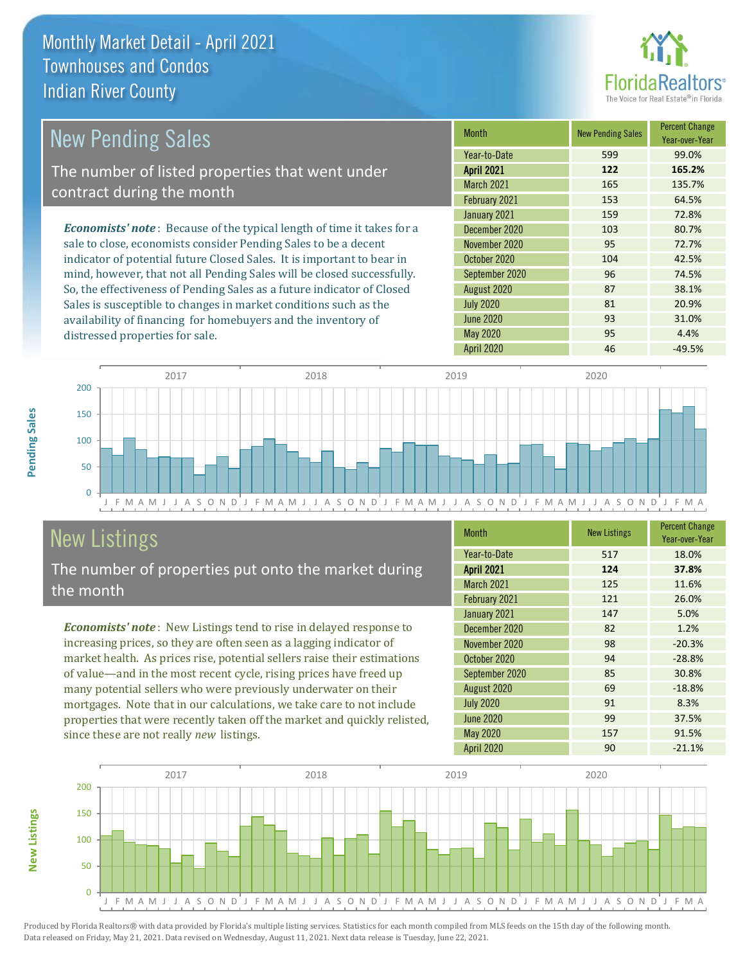distressed properties for sale.



| New Pending Sales                                                              | <b>Month</b>      | <b>New Pending Sales</b> | <b>Percent Change</b><br>Year-over-Year |
|--------------------------------------------------------------------------------|-------------------|--------------------------|-----------------------------------------|
|                                                                                | Year-to-Date      | 599                      | 99.0%                                   |
| The number of listed properties that went under                                | <b>April 2021</b> | 122                      | 165.2%                                  |
| contract during the month                                                      | March 2021        | 165                      | 135.7%                                  |
|                                                                                | February 2021     | 153                      | 64.5%                                   |
|                                                                                | January 2021      | 159                      | 72.8%                                   |
| <b>Economists' note</b> : Because of the typical length of time it takes for a | December 2020     | 103                      | 80.7%                                   |
| sale to close, economists consider Pending Sales to be a decent                | November 2020     | 95                       | 72.7%                                   |
| indicator of potential future Closed Sales. It is important to bear in         | October 2020      | 104                      | 42.5%                                   |
| mind, however, that not all Pending Sales will be closed successfully.         | September 2020    | 96                       | 74.5%                                   |
| So, the effectiveness of Pending Sales as a future indicator of Closed         | August 2020       | 87                       | 38.1%                                   |
| Sales is susceptible to changes in market conditions such as the               | <b>July 2020</b>  | 81                       | 20.9%                                   |

J F M A M J J A S O N D J F M A M J J A S O N D J F M A M J J A S O N D J F M A M J J A S O N D J F M A 0 50 100 150 200 2017 2018 2019 2020

## New Listings

The number of properties put onto the market during the month

availability of financing for homebuyers and the inventory of

*Economists' note* : New Listings tend to rise in delayed response to increasing prices, so they are often seen as a lagging indicator of market health. As prices rise, potential sellers raise their estimations of value—and in the most recent cycle, rising prices have freed up many potential sellers who were previously underwater on their mortgages. Note that in our calculations, we take care to not include properties that were recently taken off the market and quickly relisted, since these are not really *new* listings.

| Month             | <b>New Listings</b> | <b>Percent Change</b><br>Year-over-Year |
|-------------------|---------------------|-----------------------------------------|
| Year-to-Date      | 517                 | 18.0%                                   |
| April 2021        | 124                 | 37.8%                                   |
| <b>March 2021</b> | 125                 | 11.6%                                   |
| February 2021     | 121                 | 26.0%                                   |
| January 2021      | 147                 | 5.0%                                    |
| December 2020     | 82                  | 1.2%                                    |
| November 2020     | 98                  | $-20.3%$                                |
| October 2020      | 94                  | $-28.8%$                                |
| September 2020    | 85                  | 30.8%                                   |
| August 2020       | 69                  | $-18.8%$                                |
| <b>July 2020</b>  | 91                  | 8.3%                                    |
| <b>June 2020</b>  | 99                  | 37.5%                                   |
| <b>May 2020</b>   | 157                 | 91.5%                                   |
| <b>April 2020</b> | 90                  | $-21.1%$                                |

June 2020 **93** 31.0% May 2020 **95** 4.4% April 2020 **46** -49.5%



Produced by Florida Realtors® with data provided by Florida's multiple listing services. Statistics for each month compiled from MLS feeds on the 15th day of the following month. Data released on Friday, May 21, 2021. Data revised on Wednesday, August 11, 2021. Next data release is Tuesday, June 22, 2021.

**New Listings**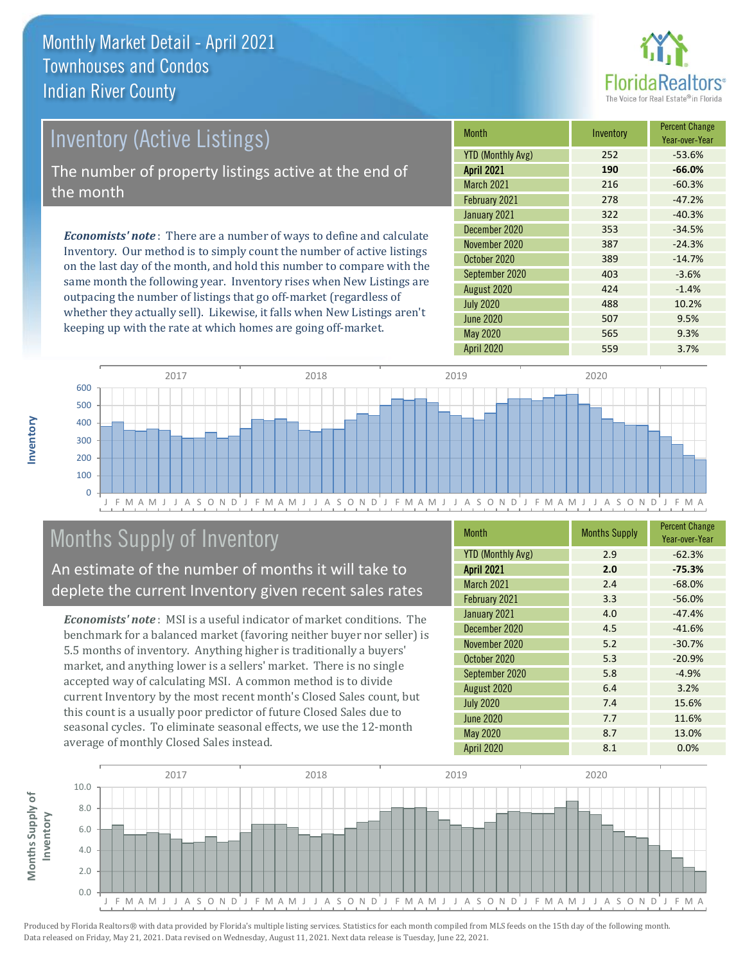

## Inventory (Active Listings) The number of property listings active at the end of the month

*Economists' note* : There are a number of ways to define and calculate Inventory. Our method is to simply count the number of active listings on the last day of the month, and hold this number to compare with the same month the following year. Inventory rises when New Listings are outpacing the number of listings that go off-market (regardless of whether they actually sell). Likewise, it falls when New Listings aren't keeping up with the rate at which homes are going off-market.

| <b>Month</b>             | Inventory | <b>Percent Change</b><br>Year-over-Year |
|--------------------------|-----------|-----------------------------------------|
| <b>YTD (Monthly Avg)</b> | 252       | $-53.6%$                                |
| <b>April 2021</b>        | 190       | $-66.0%$                                |
| <b>March 2021</b>        | 216       | $-60.3%$                                |
| February 2021            | 278       | $-47.2%$                                |
| January 2021             | 322       | $-40.3%$                                |
| December 2020            | 353       | $-34.5%$                                |
| November 2020            | 387       | $-24.3%$                                |
| October 2020             | 389       | $-14.7%$                                |
| September 2020           | 403       | $-3.6%$                                 |
| August 2020              | 424       | $-1.4%$                                 |
| <b>July 2020</b>         | 488       | 10.2%                                   |
| <b>June 2020</b>         | 507       | 9.5%                                    |
| <b>May 2020</b>          | 565       | 9.3%                                    |
| <b>April 2020</b>        | 559       | 3.7%                                    |



## Months Supply of Inventory

An estimate of the number of months it will take to deplete the current Inventory given recent sales rates

*Economists' note* : MSI is a useful indicator of market conditions. The benchmark for a balanced market (favoring neither buyer nor seller) is 5.5 months of inventory. Anything higher is traditionally a buyers' market, and anything lower is a sellers' market. There is no single accepted way of calculating MSI. A common method is to divide current Inventory by the most recent month's Closed Sales count, but this count is a usually poor predictor of future Closed Sales due to seasonal cycles. To eliminate seasonal effects, we use the 12-month average of monthly Closed Sales instead.

| Month                    | <b>Months Supply</b> | <b>Percent Change</b><br>Year-over-Year |
|--------------------------|----------------------|-----------------------------------------|
| <b>YTD (Monthly Avg)</b> | 2.9                  | $-62.3%$                                |
| <b>April 2021</b>        | 2.0                  | $-75.3%$                                |
| March 2021               | 2.4                  | $-68.0%$                                |
| February 2021            | 3.3                  | $-56.0%$                                |
| January 2021             | 4.0                  | $-47.4%$                                |
| December 2020            | 4.5                  | $-41.6%$                                |
| November 2020            | 5.2                  | $-30.7%$                                |
| October 2020             | 5.3                  | $-20.9%$                                |
| September 2020           | 5.8                  | $-4.9%$                                 |
| August 2020              | 6.4                  | 3.2%                                    |
| <b>July 2020</b>         | 7.4                  | 15.6%                                   |
| <b>June 2020</b>         | 7.7                  | 11.6%                                   |
| <b>May 2020</b>          | 8.7                  | 13.0%                                   |
| <b>April 2020</b>        | 8.1                  | 0.0%                                    |

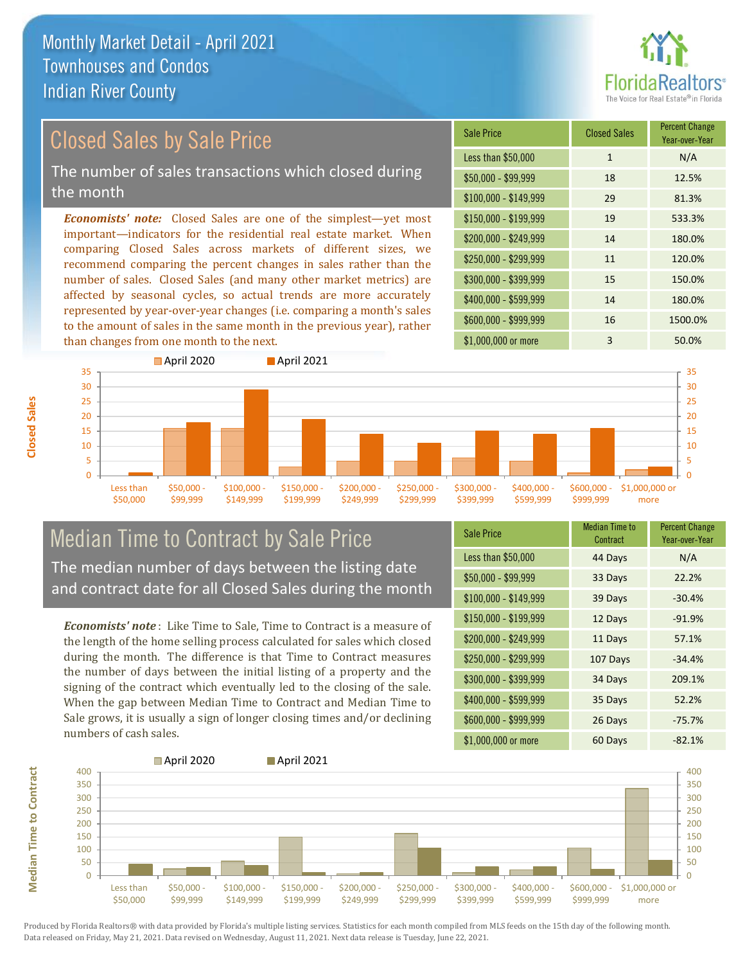

## Closed Sales by Sale Price

The number of sales transactions which closed during the month

*Economists' note:* Closed Sales are one of the simplest—yet most important—indicators for the residential real estate market. When comparing Closed Sales across markets of different sizes, we recommend comparing the percent changes in sales rather than the number of sales. Closed Sales (and many other market metrics) are affected by seasonal cycles, so actual trends are more accurately represented by year-over-year changes (i.e. comparing a month's sales to the amount of sales in the same month in the previous year), rather than changes from one month to the next.

| Sale Price            | <b>Closed Sales</b> | <b>Percent Change</b><br>Year-over-Year |
|-----------------------|---------------------|-----------------------------------------|
| Less than \$50,000    | $\mathbf{1}$        | N/A                                     |
| $$50,000 - $99,999$   | 18                  | 12.5%                                   |
| $$100,000 - $149,999$ | 29                  | 81.3%                                   |
| \$150,000 - \$199,999 | 19                  | 533.3%                                  |
| \$200,000 - \$249,999 | 14                  | 180.0%                                  |
| \$250,000 - \$299,999 | 11                  | 120.0%                                  |
| \$300,000 - \$399,999 | 15                  | 150.0%                                  |
| \$400,000 - \$599,999 | 14                  | 180.0%                                  |
| \$600,000 - \$999,999 | 16                  | 1500.0%                                 |
| \$1,000,000 or more   | 3                   | 50.0%                                   |



#### Median Time to Contract by Sale Price The median number of days between the listing date and contract date for all Closed Sales during the month

*Economists' note* : Like Time to Sale, Time to Contract is a measure of the length of the home selling process calculated for sales which closed during the month. The difference is that Time to Contract measures the number of days between the initial listing of a property and the signing of the contract which eventually led to the closing of the sale. When the gap between Median Time to Contract and Median Time to Sale grows, it is usually a sign of longer closing times and/or declining numbers of cash sales.

| <b>Sale Price</b>     | Median Time to<br>Contract | <b>Percent Change</b><br>Year-over-Year |
|-----------------------|----------------------------|-----------------------------------------|
| Less than \$50,000    | 44 Days                    | N/A                                     |
| $$50,000 - $99,999$   | 33 Days                    | 22.2%                                   |
| $$100,000 - $149,999$ | 39 Days                    | $-30.4%$                                |
| $$150,000 - $199,999$ | 12 Days                    | $-91.9%$                                |
| \$200,000 - \$249,999 | 11 Days                    | 57.1%                                   |
| \$250,000 - \$299,999 | 107 Days                   | $-34.4%$                                |
| \$300,000 - \$399,999 | 34 Days                    | 209.1%                                  |
| \$400,000 - \$599,999 | 35 Days                    | 52.2%                                   |
| \$600,000 - \$999,999 | 26 Days                    | $-75.7%$                                |
| \$1,000,000 or more   | 60 Days                    | $-82.1%$                                |



Produced by Florida Realtors® with data provided by Florida's multiple listing services. Statistics for each month compiled from MLS feeds on the 15th day of the following month. Data released on Friday, May 21, 2021. Data revised on Wednesday, August 11, 2021. Next data release is Tuesday, June 22, 2021.

**Median Time to Contract**

**Median Time to Contract**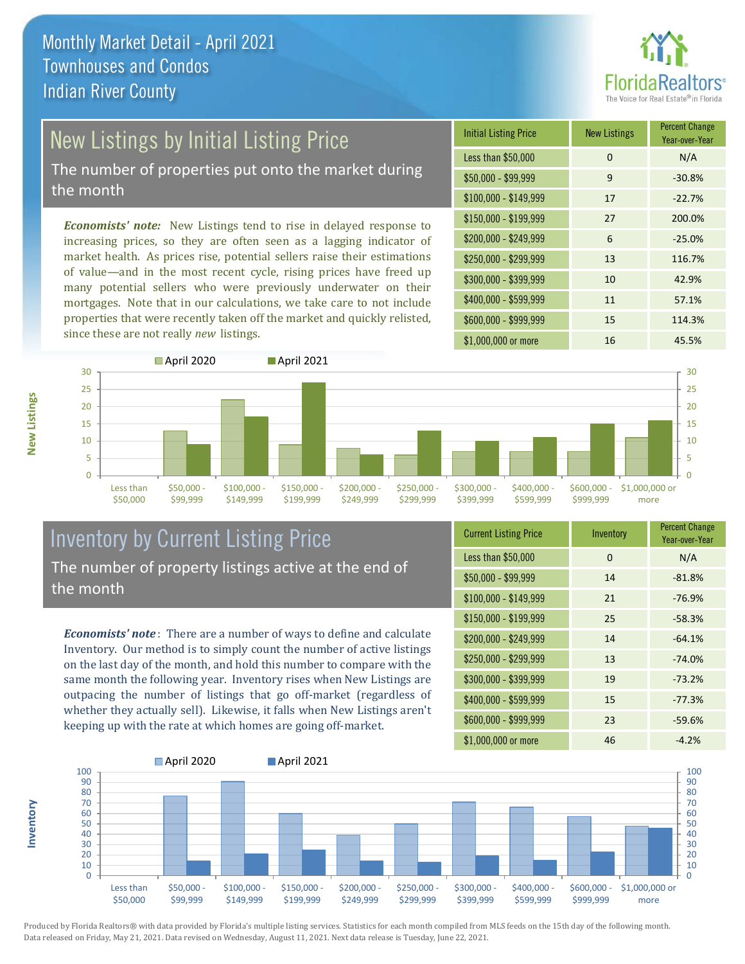

# New Listings by Initial Listing Price

The number of properties put onto the market during the month

*Economists' note:* New Listings tend to rise in delayed response to increasing prices, so they are often seen as a lagging indicator of market health. As prices rise, potential sellers raise their estimations of value—and in the most recent cycle, rising prices have freed up many potential sellers who were previously underwater on their mortgages. Note that in our calculations, we take care to not include properties that were recently taken off the market and quickly relisted, since these are not really *new* listings.





#### Inventory by Current Listing Price The number of property listings active at the end of the month

*Economists' note* : There are a number of ways to define and calculate Inventory. Our method is to simply count the number of active listings on the last day of the month, and hold this number to compare with the same month the following year. Inventory rises when New Listings are outpacing the number of listings that go off-market (regardless of whether they actually sell). Likewise, it falls when New Listings aren't keeping up with the rate at which homes are going off-market.

| <b>Current Listing Price</b> | Inventory | <b>Percent Change</b><br>Year-over-Year |
|------------------------------|-----------|-----------------------------------------|
| Less than \$50,000           | 0         | N/A                                     |
| $$50,000 - $99,999$          | 14        | $-81.8%$                                |
| $$100,000 - $149,999$        | 21        | $-76.9%$                                |
| $$150,000 - $199,999$        | 25        | $-58.3%$                                |
| \$200,000 - \$249,999        | 14        | $-64.1%$                                |
| \$250,000 - \$299,999        | 13        | $-74.0%$                                |
| \$300,000 - \$399,999        | 19        | $-73.2%$                                |
| \$400,000 - \$599,999        | 15        | $-77.3%$                                |
| \$600,000 - \$999,999        | 23        | $-59.6%$                                |
| \$1,000,000 or more          | 46        | $-4.2%$                                 |



Produced by Florida Realtors® with data provided by Florida's multiple listing services. Statistics for each month compiled from MLS feeds on the 15th day of the following month. Data released on Friday, May 21, 2021. Data revised on Wednesday, August 11, 2021. Next data release is Tuesday, June 22, 2021.

**Inventory**